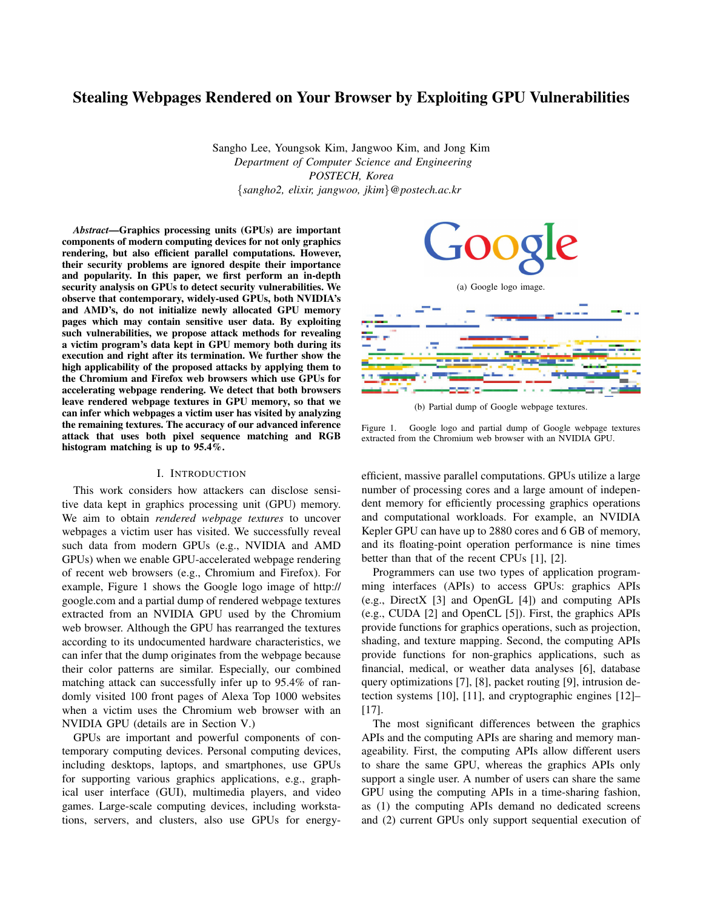# Stealing Webpages Rendered on Your Browser by Exploiting GPU Vulnerabilities

Sangho Lee, Youngsok Kim, Jangwoo Kim, and Jong Kim *Department of Computer Science and Engineering POSTECH, Korea* {*sangho2, elixir, jangwoo, jkim*}*@postech.ac.kr*

*Abstract*—Graphics processing units (GPUs) are important components of modern computing devices for not only graphics rendering, but also efficient parallel computations. However, their security problems are ignored despite their importance and popularity. In this paper, we first perform an in-depth security analysis on GPUs to detect security vulnerabilities. We observe that contemporary, widely-used GPUs, both NVIDIA's and AMD's, do not initialize newly allocated GPU memory pages which may contain sensitive user data. By exploiting such vulnerabilities, we propose attack methods for revealing a victim program's data kept in GPU memory both during its execution and right after its termination. We further show the high applicability of the proposed attacks by applying them to the Chromium and Firefox web browsers which use GPUs for accelerating webpage rendering. We detect that both browsers leave rendered webpage textures in GPU memory, so that we can infer which webpages a victim user has visited by analyzing the remaining textures. The accuracy of our advanced inference attack that uses both pixel sequence matching and RGB histogram matching is up to 95.4%.

# I. INTRODUCTION

This work considers how attackers can disclose sensitive data kept in graphics processing unit (GPU) memory. We aim to obtain *rendered webpage textures* to uncover webpages a victim user has visited. We successfully reveal such data from modern GPUs (e.g., NVIDIA and AMD GPUs) when we enable GPU-accelerated webpage rendering of recent web browsers (e.g., Chromium and Firefox). For example, Figure 1 shows the Google logo image of http:// google.com and a partial dump of rendered webpage textures extracted from an NVIDIA GPU used by the Chromium web browser. Although the GPU has rearranged the textures according to its undocumented hardware characteristics, we can infer that the dump originates from the webpage because their color patterns are similar. Especially, our combined matching attack can successfully infer up to 95.4% of randomly visited 100 front pages of Alexa Top 1000 websites when a victim uses the Chromium web browser with an NVIDIA GPU (details are in Section V.)

GPUs are important and powerful components of contemporary computing devices. Personal computing devices, including desktops, laptops, and smartphones, use GPUs for supporting various graphics applications, e.g., graphical user interface (GUI), multimedia players, and video games. Large-scale computing devices, including workstations, servers, and clusters, also use GPUs for energy-





(b) Partial dump of Google webpage textures.

Figure 1. Google logo and partial dump of Google webpage textures extracted from the Chromium web browser with an NVIDIA GPU.

efficient, massive parallel computations. GPUs utilize a large number of processing cores and a large amount of independent memory for efficiently processing graphics operations and computational workloads. For example, an NVIDIA Kepler GPU can have up to 2880 cores and 6 GB of memory, and its floating-point operation performance is nine times better than that of the recent CPUs [1], [2].

Programmers can use two types of application programming interfaces (APIs) to access GPUs: graphics APIs (e.g., DirectX [3] and OpenGL [4]) and computing APIs (e.g., CUDA [2] and OpenCL [5]). First, the graphics APIs provide functions for graphics operations, such as projection, shading, and texture mapping. Second, the computing APIs provide functions for non-graphics applications, such as financial, medical, or weather data analyses [6], database query optimizations [7], [8], packet routing [9], intrusion detection systems [10], [11], and cryptographic engines [12]– [17].

The most significant differences between the graphics APIs and the computing APIs are sharing and memory manageability. First, the computing APIs allow different users to share the same GPU, whereas the graphics APIs only support a single user. A number of users can share the same GPU using the computing APIs in a time-sharing fashion, as (1) the computing APIs demand no dedicated screens and (2) current GPUs only support sequential execution of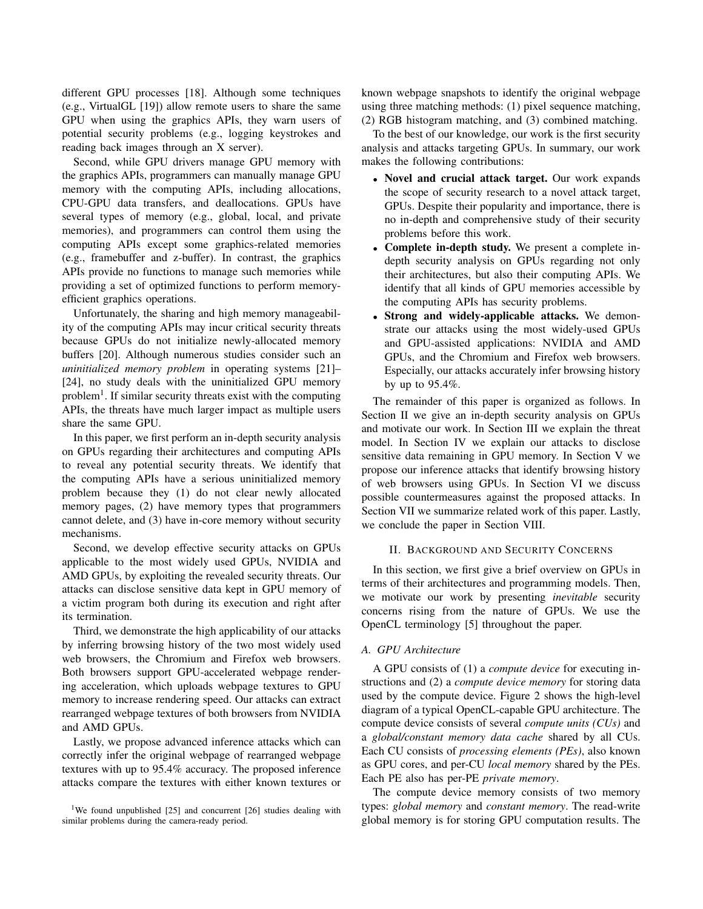different GPU processes [18]. Although some techniques (e.g., VirtualGL [19]) allow remote users to share the same GPU when using the graphics APIs, they warn users of potential security problems (e.g., logging keystrokes and reading back images through an X server).

Second, while GPU drivers manage GPU memory with the graphics APIs, programmers can manually manage GPU memory with the computing APIs, including allocations, CPU-GPU data transfers, and deallocations. GPUs have several types of memory (e.g., global, local, and private memories), and programmers can control them using the computing APIs except some graphics-related memories (e.g., framebuffer and z-buffer). In contrast, the graphics APIs provide no functions to manage such memories while providing a set of optimized functions to perform memoryefficient graphics operations.

Unfortunately, the sharing and high memory manageability of the computing APIs may incur critical security threats because GPUs do not initialize newly-allocated memory buffers [20]. Although numerous studies consider such an *uninitialized memory problem* in operating systems [21]– [24], no study deals with the uninitialized GPU memory problem<sup>1</sup>. If similar security threats exist with the computing APIs, the threats have much larger impact as multiple users share the same GPU.

In this paper, we first perform an in-depth security analysis on GPUs regarding their architectures and computing APIs to reveal any potential security threats. We identify that the computing APIs have a serious uninitialized memory problem because they (1) do not clear newly allocated memory pages, (2) have memory types that programmers cannot delete, and (3) have in-core memory without security mechanisms.

Second, we develop effective security attacks on GPUs applicable to the most widely used GPUs, NVIDIA and AMD GPUs, by exploiting the revealed security threats. Our attacks can disclose sensitive data kept in GPU memory of a victim program both during its execution and right after its termination.

Third, we demonstrate the high applicability of our attacks by inferring browsing history of the two most widely used web browsers, the Chromium and Firefox web browsers. Both browsers support GPU-accelerated webpage rendering acceleration, which uploads webpage textures to GPU memory to increase rendering speed. Our attacks can extract rearranged webpage textures of both browsers from NVIDIA and AMD GPUs.

Lastly, we propose advanced inference attacks which can correctly infer the original webpage of rearranged webpage textures with up to 95.4% accuracy. The proposed inference attacks compare the textures with either known textures or known webpage snapshots to identify the original webpage using three matching methods: (1) pixel sequence matching, (2) RGB histogram matching, and (3) combined matching.

To the best of our knowledge, our work is the first security analysis and attacks targeting GPUs. In summary, our work makes the following contributions:

- Novel and crucial attack target. Our work expands the scope of security research to a novel attack target, GPUs. Despite their popularity and importance, there is no in-depth and comprehensive study of their security problems before this work.
- Complete in-depth study. We present a complete indepth security analysis on GPUs regarding not only their architectures, but also their computing APIs. We identify that all kinds of GPU memories accessible by the computing APIs has security problems.
- Strong and widely-applicable attacks. We demonstrate our attacks using the most widely-used GPUs and GPU-assisted applications: NVIDIA and AMD GPUs, and the Chromium and Firefox web browsers. Especially, our attacks accurately infer browsing history by up to 95.4%.

The remainder of this paper is organized as follows. In Section II we give an in-depth security analysis on GPUs and motivate our work. In Section III we explain the threat model. In Section IV we explain our attacks to disclose sensitive data remaining in GPU memory. In Section V we propose our inference attacks that identify browsing history of web browsers using GPUs. In Section VI we discuss possible countermeasures against the proposed attacks. In Section VII we summarize related work of this paper. Lastly, we conclude the paper in Section VIII.

# II. BACKGROUND AND SECURITY CONCERNS

In this section, we first give a brief overview on GPUs in terms of their architectures and programming models. Then, we motivate our work by presenting *inevitable* security concerns rising from the nature of GPUs. We use the OpenCL terminology [5] throughout the paper.

# *A. GPU Architecture*

A GPU consists of (1) a *compute device* for executing instructions and (2) a *compute device memory* for storing data used by the compute device. Figure 2 shows the high-level diagram of a typical OpenCL-capable GPU architecture. The compute device consists of several *compute units (CUs)* and a *global/constant memory data cache* shared by all CUs. Each CU consists of *processing elements (PEs)*, also known as GPU cores, and per-CU *local memory* shared by the PEs. Each PE also has per-PE *private memory*.

The compute device memory consists of two memory types: *global memory* and *constant memory*. The read-write global memory is for storing GPU computation results. The

<sup>&</sup>lt;sup>1</sup>We found unpublished [25] and concurrent [26] studies dealing with similar problems during the camera-ready period.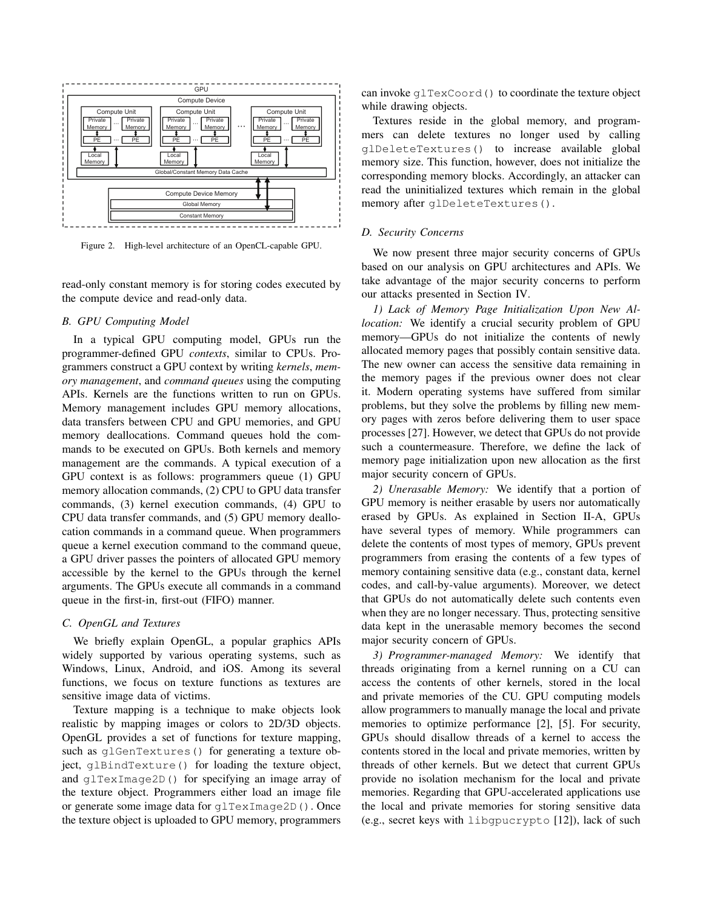

Figure 2. High-level architecture of an OpenCL-capable GPU.

read-only constant memory is for storing codes executed by the compute device and read-only data.

# *B. GPU Computing Model*

In a typical GPU computing model, GPUs run the programmer-defined GPU *contexts*, similar to CPUs. Programmers construct a GPU context by writing *kernels*, *memory management*, and *command queues* using the computing APIs. Kernels are the functions written to run on GPUs. Memory management includes GPU memory allocations, data transfers between CPU and GPU memories, and GPU memory deallocations. Command queues hold the commands to be executed on GPUs. Both kernels and memory management are the commands. A typical execution of a GPU context is as follows: programmers queue (1) GPU memory allocation commands, (2) CPU to GPU data transfer commands, (3) kernel execution commands, (4) GPU to CPU data transfer commands, and (5) GPU memory deallocation commands in a command queue. When programmers queue a kernel execution command to the command queue, a GPU driver passes the pointers of allocated GPU memory accessible by the kernel to the GPUs through the kernel arguments. The GPUs execute all commands in a command queue in the first-in, first-out (FIFO) manner.

# *C. OpenGL and Textures*

We briefly explain OpenGL, a popular graphics APIs widely supported by various operating systems, such as Windows, Linux, Android, and iOS. Among its several functions, we focus on texture functions as textures are sensitive image data of victims.

Texture mapping is a technique to make objects look realistic by mapping images or colors to 2D/3D objects. OpenGL provides a set of functions for texture mapping, such as glGenTextures() for generating a texture object, glBindTexture() for loading the texture object, and glTexImage2D() for specifying an image array of the texture object. Programmers either load an image file or generate some image data for glTexImage2D(). Once the texture object is uploaded to GPU memory, programmers can invoke glTexCoord() to coordinate the texture object while drawing objects.

Textures reside in the global memory, and programmers can delete textures no longer used by calling glDeleteTextures() to increase available global memory size. This function, however, does not initialize the corresponding memory blocks. Accordingly, an attacker can read the uninitialized textures which remain in the global memory after glDeleteTextures().

# *D. Security Concerns*

We now present three major security concerns of GPUs based on our analysis on GPU architectures and APIs. We take advantage of the major security concerns to perform our attacks presented in Section IV.

*1) Lack of Memory Page Initialization Upon New Allocation:* We identify a crucial security problem of GPU memory—GPUs do not initialize the contents of newly allocated memory pages that possibly contain sensitive data. The new owner can access the sensitive data remaining in the memory pages if the previous owner does not clear it. Modern operating systems have suffered from similar problems, but they solve the problems by filling new memory pages with zeros before delivering them to user space processes [27]. However, we detect that GPUs do not provide such a countermeasure. Therefore, we define the lack of memory page initialization upon new allocation as the first major security concern of GPUs.

*2) Unerasable Memory:* We identify that a portion of GPU memory is neither erasable by users nor automatically erased by GPUs. As explained in Section II-A, GPUs have several types of memory. While programmers can delete the contents of most types of memory, GPUs prevent programmers from erasing the contents of a few types of memory containing sensitive data (e.g., constant data, kernel codes, and call-by-value arguments). Moreover, we detect that GPUs do not automatically delete such contents even when they are no longer necessary. Thus, protecting sensitive data kept in the unerasable memory becomes the second major security concern of GPUs.

*3) Programmer-managed Memory:* We identify that threads originating from a kernel running on a CU can access the contents of other kernels, stored in the local and private memories of the CU. GPU computing models allow programmers to manually manage the local and private memories to optimize performance [2], [5]. For security, GPUs should disallow threads of a kernel to access the contents stored in the local and private memories, written by threads of other kernels. But we detect that current GPUs provide no isolation mechanism for the local and private memories. Regarding that GPU-accelerated applications use the local and private memories for storing sensitive data (e.g., secret keys with libgpucrypto [12]), lack of such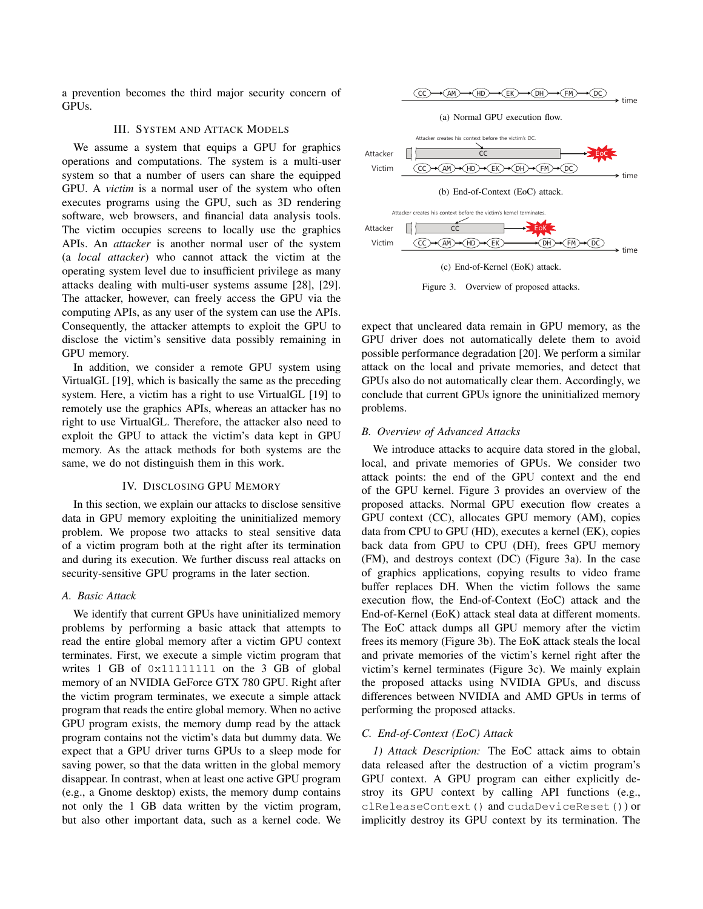a prevention becomes the third major security concern of GPUs.

# III. SYSTEM AND ATTACK MODELS

We assume a system that equips a GPU for graphics operations and computations. The system is a multi-user system so that a number of users can share the equipped GPU. A *victim* is a normal user of the system who often executes programs using the GPU, such as 3D rendering software, web browsers, and financial data analysis tools. The victim occupies screens to locally use the graphics APIs. An *attacker* is another normal user of the system (a *local attacker*) who cannot attack the victim at the operating system level due to insufficient privilege as many attacks dealing with multi-user systems assume [28], [29]. The attacker, however, can freely access the GPU via the computing APIs, as any user of the system can use the APIs. Consequently, the attacker attempts to exploit the GPU to disclose the victim's sensitive data possibly remaining in GPU memory.

In addition, we consider a remote GPU system using VirtualGL [19], which is basically the same as the preceding system. Here, a victim has a right to use VirtualGL [19] to remotely use the graphics APIs, whereas an attacker has no right to use VirtualGL. Therefore, the attacker also need to exploit the GPU to attack the victim's data kept in GPU memory. As the attack methods for both systems are the same, we do not distinguish them in this work.

# IV. DISCLOSING GPU MEMORY

In this section, we explain our attacks to disclose sensitive data in GPU memory exploiting the uninitialized memory problem. We propose two attacks to steal sensitive data of a victim program both at the right after its termination and during its execution. We further discuss real attacks on security-sensitive GPU programs in the later section.

# *A. Basic Attack*

We identify that current GPUs have uninitialized memory problems by performing a basic attack that attempts to read the entire global memory after a victim GPU context terminates. First, we execute a simple victim program that writes 1 GB of  $0 \times 11111111$  on the 3 GB of global memory of an NVIDIA GeForce GTX 780 GPU. Right after the victim program terminates, we execute a simple attack program that reads the entire global memory. When no active GPU program exists, the memory dump read by the attack program contains not the victim's data but dummy data. We expect that a GPU driver turns GPUs to a sleep mode for saving power, so that the data written in the global memory disappear. In contrast, when at least one active GPU program (e.g., a Gnome desktop) exists, the memory dump contains not only the 1 GB data written by the victim program, but also other important data, such as a kernel code. We





expect that uncleared data remain in GPU memory, as the GPU driver does not automatically delete them to avoid possible performance degradation [20]. We perform a similar attack on the local and private memories, and detect that GPUs also do not automatically clear them. Accordingly, we conclude that current GPUs ignore the uninitialized memory problems.

# *B. Overview of Advanced Attacks*

We introduce attacks to acquire data stored in the global, local, and private memories of GPUs. We consider two attack points: the end of the GPU context and the end of the GPU kernel. Figure 3 provides an overview of the proposed attacks. Normal GPU execution flow creates a GPU context (CC), allocates GPU memory (AM), copies data from CPU to GPU (HD), executes a kernel (EK), copies back data from GPU to CPU (DH), frees GPU memory (FM), and destroys context (DC) (Figure 3a). In the case of graphics applications, copying results to video frame buffer replaces DH. When the victim follows the same execution flow, the End-of-Context (EoC) attack and the End-of-Kernel (EoK) attack steal data at different moments. The EoC attack dumps all GPU memory after the victim frees its memory (Figure 3b). The EoK attack steals the local and private memories of the victim's kernel right after the victim's kernel terminates (Figure 3c). We mainly explain the proposed attacks using NVIDIA GPUs, and discuss differences between NVIDIA and AMD GPUs in terms of performing the proposed attacks.

# *C. End-of-Context (EoC) Attack*

*1) Attack Description:* The EoC attack aims to obtain data released after the destruction of a victim program's GPU context. A GPU program can either explicitly destroy its GPU context by calling API functions (e.g., clReleaseContext() and cudaDeviceReset()) or implicitly destroy its GPU context by its termination. The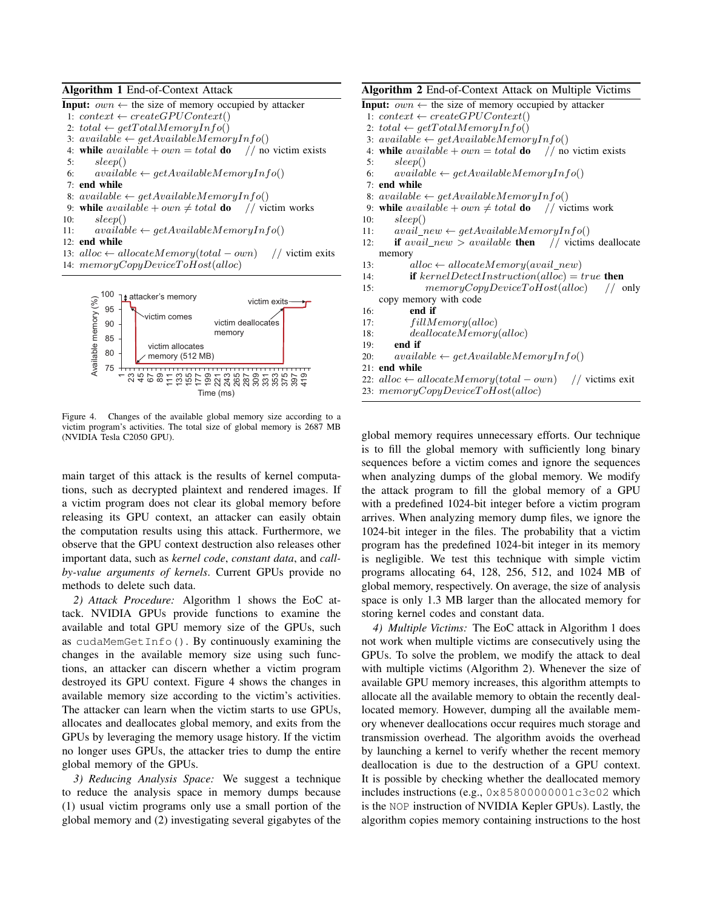Algorithm 1 End-of-Context Attack

**Input:**  $own \leftarrow$  the size of memory occupied by attacker

- 1:  $context \leftarrow createGPUContext()$
- 2: total  $\leftarrow$  getTotalMemoryIn fo()
- 3:  $available \leftarrow getAvailableMemoryInfo()$
- 4: while  $available + own = total$  do // no victim exists 5: sleep()
- 6:  $available \leftarrow getAvailableMemoryInfo()$
- 7: end while
- 8:  $available \leftarrow getAvailableMemoryInfo()$
- 9: while  $available + own \neq total$  do // victim works
- 10: sleep()
- 11:  $available \leftarrow getAvailableMemoryInfo()$
- 12: end while
- 13: alloc ← allocateMemory(total own) // victim exits 14: memoryCopyDeviceT oHost(alloc)



Figure 4. Changes of the available global memory size according to a victim program's activities. The total size of global memory is 2687 MB (NVIDIA Tesla C2050 GPU).

main target of this attack is the results of kernel computations, such as decrypted plaintext and rendered images. If a victim program does not clear its global memory before releasing its GPU context, an attacker can easily obtain the computation results using this attack. Furthermore, we observe that the GPU context destruction also releases other important data, such as *kernel code*, *constant data*, and *callby-value arguments of kernels*. Current GPUs provide no methods to delete such data.

*2) Attack Procedure:* Algorithm 1 shows the EoC attack. NVIDIA GPUs provide functions to examine the available and total GPU memory size of the GPUs, such as cudaMemGetInfo(). By continuously examining the changes in the available memory size using such functions, an attacker can discern whether a victim program destroyed its GPU context. Figure 4 shows the changes in available memory size according to the victim's activities. The attacker can learn when the victim starts to use GPUs, allocates and deallocates global memory, and exits from the GPUs by leveraging the memory usage history. If the victim no longer uses GPUs, the attacker tries to dump the entire global memory of the GPUs.

*3) Reducing Analysis Space:* We suggest a technique to reduce the analysis space in memory dumps because (1) usual victim programs only use a small portion of the global memory and (2) investigating several gigabytes of the

Algorithm 2 End-of-Context Attack on Multiple Victims

**Input:**  $own \leftarrow$  the size of memory occupied by attacker

- 1:  $context \leftarrow createGPUContext()$
- 2:  $total \leftarrow getTotalMemoryInfo()$
- 3:  $available \leftarrow getAvailableMemoryInfo()$
- 4: while  $available + own = total$  do // no victim exists 5: sleep()
- 6:  $available \leftarrow getAvailableMemoryInfo()$
- 7: end while
- 8: available  $\leftarrow getAvailableMemoryInfo()$
- 9: while  $available + own \neq total$  do // victims work
- 10: sleep()
- 11:  $avail\_new \leftarrow getAvailableMemoryInfo()$
- 12: if avail new  $>$  available then // victims deallocate memory
- 13:  $alloc \leftarrow allocateMemory(avail\_new)$
- 14: **if** kernelDetectInstruction(alloc) = true **then**
- 15: memoryCopyDeviceToHost(alloc) // only copy memory with code
- 16: end if
- 17: fillMemory(alloc)
- 18: deallocateMemory(alloc)
- 19: end if
- 20:  $available \leftarrow getAvailableMemoryInfo()$
- 21: end while
	-
- 22: alloc ← allocateMemory(total own) // victims exit
- 23: memoryCopyDeviceT oHost(alloc)

global memory requires unnecessary efforts. Our technique is to fill the global memory with sufficiently long binary sequences before a victim comes and ignore the sequences when analyzing dumps of the global memory. We modify the attack program to fill the global memory of a GPU with a predefined 1024-bit integer before a victim program arrives. When analyzing memory dump files, we ignore the 1024-bit integer in the files. The probability that a victim program has the predefined 1024-bit integer in its memory is negligible. We test this technique with simple victim programs allocating 64, 128, 256, 512, and 1024 MB of global memory, respectively. On average, the size of analysis space is only 1.3 MB larger than the allocated memory for storing kernel codes and constant data.

*4) Multiple Victims:* The EoC attack in Algorithm 1 does not work when multiple victims are consecutively using the GPUs. To solve the problem, we modify the attack to deal with multiple victims (Algorithm 2). Whenever the size of available GPU memory increases, this algorithm attempts to allocate all the available memory to obtain the recently deallocated memory. However, dumping all the available memory whenever deallocations occur requires much storage and transmission overhead. The algorithm avoids the overhead by launching a kernel to verify whether the recent memory deallocation is due to the destruction of a GPU context. It is possible by checking whether the deallocated memory includes instructions (e.g., 0x85800000001c3c02 which is the NOP instruction of NVIDIA Kepler GPUs). Lastly, the algorithm copies memory containing instructions to the host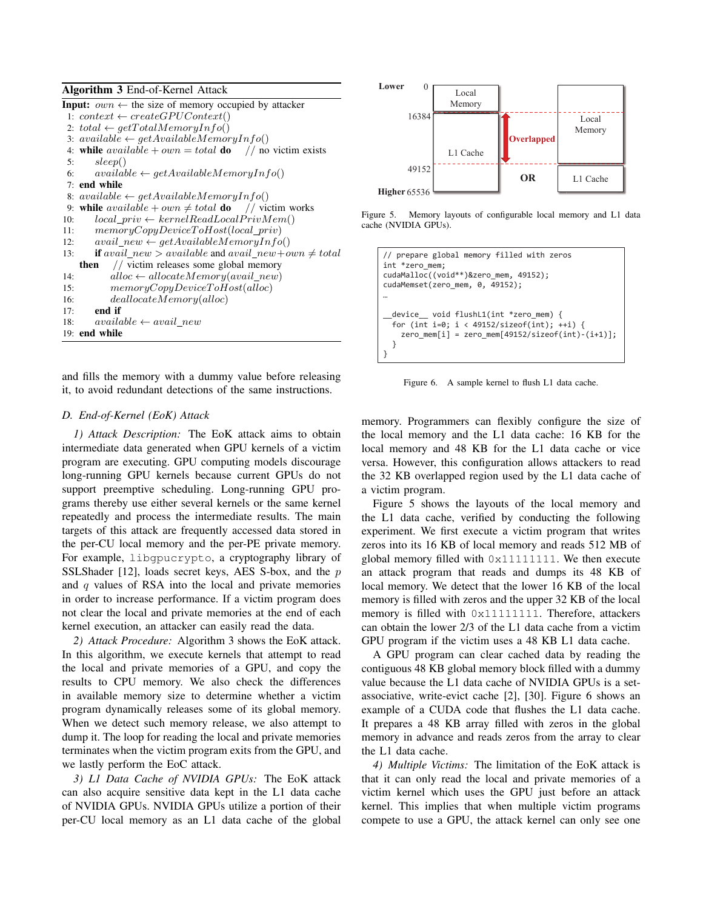Algorithm 3 End-of-Kernel Attack

|                | <b>Input:</b> $own \leftarrow$ the size of memory occupied by attacker |  |  |  |  |
|----------------|------------------------------------------------------------------------|--|--|--|--|
|                | 1: $context \leftarrow createGPUContext()$                             |  |  |  |  |
|                | 2: $total \leftarrow getTotalMemoryInfo()$                             |  |  |  |  |
|                | 3: $available \leftarrow getAvailableMemoryInfo()$                     |  |  |  |  |
|                | 4: while $available + own = total$ do // no victim exists              |  |  |  |  |
| 5: $sleep()$   |                                                                        |  |  |  |  |
|                | 6: $available \leftarrow getAvailableMemoryInfo()$                     |  |  |  |  |
| $7:$ end while |                                                                        |  |  |  |  |
|                | 8: $available \leftarrow getAvailableMemoryInfo()$                     |  |  |  |  |
|                | 9: while $available + own \neq total$ do // victim works               |  |  |  |  |
| 10:            | $local\_priv \leftarrow kernelReadLocalPrivMem()$                      |  |  |  |  |
| 11:            | $memoryCopyDeviceToHost(local\_priv)$                                  |  |  |  |  |
|                | 12: $avail\_new \leftarrow getAvailableMemoryInfo()$                   |  |  |  |  |
| 13:            | <b>if</b> avail_new > available and avail_new+own $\neq$ total         |  |  |  |  |
|                | <b>then</b> $//$ victim releases some global memory                    |  |  |  |  |
| 14:            | $alloc \leftarrow allocateMemory(avail\_new)$                          |  |  |  |  |
| 15:            | memoryCopyDeviceToHost(alloc)                                          |  |  |  |  |
| 16:            | deallocateMemory(alloc)                                                |  |  |  |  |
| end if<br>17:  |                                                                        |  |  |  |  |
|                | 18: $available \leftarrow avail$ new                                   |  |  |  |  |
| 19: end while  |                                                                        |  |  |  |  |
|                |                                                                        |  |  |  |  |

and fills the memory with a dummy value before releasing it, to avoid redundant detections of the same instructions.

# *D. End-of-Kernel (EoK) Attack*

*1) Attack Description:* The EoK attack aims to obtain intermediate data generated when GPU kernels of a victim program are executing. GPU computing models discourage long-running GPU kernels because current GPUs do not support preemptive scheduling. Long-running GPU programs thereby use either several kernels or the same kernel repeatedly and process the intermediate results. The main targets of this attack are frequently accessed data stored in the per-CU local memory and the per-PE private memory. For example, libgpucrypto, a cryptography library of SSLShader [12], loads secret keys, AES S-box, and the p and  $q$  values of RSA into the local and private memories in order to increase performance. If a victim program does not clear the local and private memories at the end of each kernel execution, an attacker can easily read the data.

*2) Attack Procedure:* Algorithm 3 shows the EoK attack. In this algorithm, we execute kernels that attempt to read the local and private memories of a GPU, and copy the results to CPU memory. We also check the differences in available memory size to determine whether a victim program dynamically releases some of its global memory. When we detect such memory release, we also attempt to dump it. The loop for reading the local and private memories terminates when the victim program exits from the GPU, and we lastly perform the EoC attack.

*3) L1 Data Cache of NVIDIA GPUs:* The EoK attack can also acquire sensitive data kept in the L1 data cache of NVIDIA GPUs. NVIDIA GPUs utilize a portion of their per-CU local memory as an L1 data cache of the global



Figure 5. Memory layouts of configurable local memory and L1 data cache (NVIDIA GPUs).



Figure 6. A sample kernel to flush L1 data cache.

memory. Programmers can flexibly configure the size of the local memory and the L1 data cache: 16 KB for the local memory and 48 KB for the L1 data cache or vice versa. However, this configuration allows attackers to read the 32 KB overlapped region used by the L1 data cache of a victim program.

Figure 5 shows the layouts of the local memory and the L1 data cache, verified by conducting the following experiment. We first execute a victim program that writes zeros into its 16 KB of local memory and reads 512 MB of global memory filled with 0x11111111. We then execute an attack program that reads and dumps its 48 KB of local memory. We detect that the lower 16 KB of the local memory is filled with zeros and the upper 32 KB of the local memory is filled with 0x111111111. Therefore, attackers can obtain the lower 2/3 of the L1 data cache from a victim GPU program if the victim uses a 48 KB L1 data cache.

A GPU program can clear cached data by reading the contiguous 48 KB global memory block filled with a dummy value because the L1 data cache of NVIDIA GPUs is a setassociative, write-evict cache [2], [30]. Figure 6 shows an example of a CUDA code that flushes the L1 data cache. It prepares a 48 KB array filled with zeros in the global memory in advance and reads zeros from the array to clear the L1 data cache.

*4) Multiple Victims:* The limitation of the EoK attack is that it can only read the local and private memories of a victim kernel which uses the GPU just before an attack kernel. This implies that when multiple victim programs compete to use a GPU, the attack kernel can only see one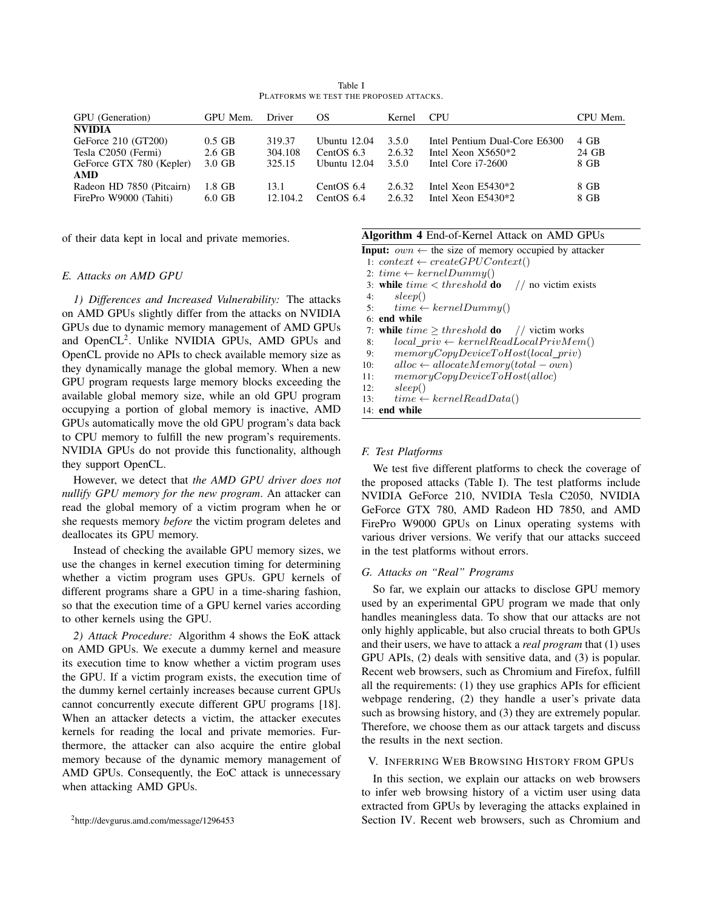Table I PLATFORMS WE TEST THE PROPOSED ATTACKS.

| <b>GPU</b> (Generation)   | GPU Mem. | Driver   | OS             | Kernel | <b>CPU</b>                    | CPU Mem. |
|---------------------------|----------|----------|----------------|--------|-------------------------------|----------|
| <b>NVIDIA</b>             |          |          |                |        |                               |          |
| GeForce $210$ (GT200)     | $0.5$ GB | 319.37   | Ubuntu $12.04$ | 3.5.0  | Intel Pentium Dual-Core E6300 | 4 GB     |
| Tesla C2050 (Fermi)       | 2.6 GB   | 304.108  | CentOS 6.3     | 2.6.32 | Intel Xeon $X5650*2$          | 24 GB    |
| GeForce GTX 780 (Kepler)  | 3.0 GB   | 325.15   | Ubuntu $12.04$ | 3.5.0  | Intel Core $i7-2600$          | 8 GB     |
| <b>AMD</b>                |          |          |                |        |                               |          |
| Radeon HD 7850 (Pitcairn) | $1.8$ GB | 13.1     | CentOS 6.4     | 2.6.32 | Intel Xeon $E5430*2$          | 8 GB     |
| FirePro W9000 (Tahiti)    | $6.0$ GB | 12.104.2 | CentOS 6.4     | 2.6.32 | Intel Xeon $E5430*2$          | 8 GB     |
|                           |          |          |                |        |                               |          |

of their data kept in local and private memories.

# *E. Attacks on AMD GPU*

*1) Differences and Increased Vulnerability:* The attacks on AMD GPUs slightly differ from the attacks on NVIDIA GPUs due to dynamic memory management of AMD GPUs and OpenCL<sup>2</sup>. Unlike NVIDIA GPUs, AMD GPUs and OpenCL provide no APIs to check available memory size as they dynamically manage the global memory. When a new GPU program requests large memory blocks exceeding the available global memory size, while an old GPU program occupying a portion of global memory is inactive, AMD GPUs automatically move the old GPU program's data back to CPU memory to fulfill the new program's requirements. NVIDIA GPUs do not provide this functionality, although they support OpenCL.

However, we detect that *the AMD GPU driver does not nullify GPU memory for the new program*. An attacker can read the global memory of a victim program when he or she requests memory *before* the victim program deletes and deallocates its GPU memory.

Instead of checking the available GPU memory sizes, we use the changes in kernel execution timing for determining whether a victim program uses GPUs. GPU kernels of different programs share a GPU in a time-sharing fashion, so that the execution time of a GPU kernel varies according to other kernels using the GPU.

*2) Attack Procedure:* Algorithm 4 shows the EoK attack on AMD GPUs. We execute a dummy kernel and measure its execution time to know whether a victim program uses the GPU. If a victim program exists, the execution time of the dummy kernel certainly increases because current GPUs cannot concurrently execute different GPU programs [18]. When an attacker detects a victim, the attacker executes kernels for reading the local and private memories. Furthermore, the attacker can also acquire the entire global memory because of the dynamic memory management of AMD GPUs. Consequently, the EoC attack is unnecessary when attacking AMD GPUs.

# Algorithm 4 End-of-Kernel Attack on AMD GPUs

**Input:**  $own \leftarrow$  the size of memory occupied by attacker 1:  $context \leftarrow createGPUContext()$ 2:  $time \leftarrow kernelDummy()$ 3: while  $time < threshold$  do  $//$  no victim exists 4: sleep() 5:  $time \leftarrow kernelDummy()$ 6: end while

- 7: while  $time \geq threshold$  do // victim works
- 8:  $local\_priv \leftarrow kernelReadLocalPrivMem()$
- 9: memoryCopyDeviceToHost(local\_priv)
- 10:  $alloc \leftarrow allocateMemory(total own)$
- 11: memoryCopyDeviceToHost(alloc)
- 12:  $sleep()$

13:  $time \leftarrow kernelReadData()$ 

14: end while

# *F. Test Platforms*

We test five different platforms to check the coverage of the proposed attacks (Table I). The test platforms include NVIDIA GeForce 210, NVIDIA Tesla C2050, NVIDIA GeForce GTX 780, AMD Radeon HD 7850, and AMD FirePro W9000 GPUs on Linux operating systems with various driver versions. We verify that our attacks succeed in the test platforms without errors.

#### *G. Attacks on "Real" Programs*

So far, we explain our attacks to disclose GPU memory used by an experimental GPU program we made that only handles meaningless data. To show that our attacks are not only highly applicable, but also crucial threats to both GPUs and their users, we have to attack a *real program* that (1) uses GPU APIs, (2) deals with sensitive data, and (3) is popular. Recent web browsers, such as Chromium and Firefox, fulfill all the requirements: (1) they use graphics APIs for efficient webpage rendering, (2) they handle a user's private data such as browsing history, and (3) they are extremely popular. Therefore, we choose them as our attack targets and discuss the results in the next section.

# V. INFERRING WEB BROWSING HISTORY FROM GPUS

In this section, we explain our attacks on web browsers to infer web browsing history of a victim user using data extracted from GPUs by leveraging the attacks explained in Section IV. Recent web browsers, such as Chromium and

<sup>2</sup>http://devgurus.amd.com/message/1296453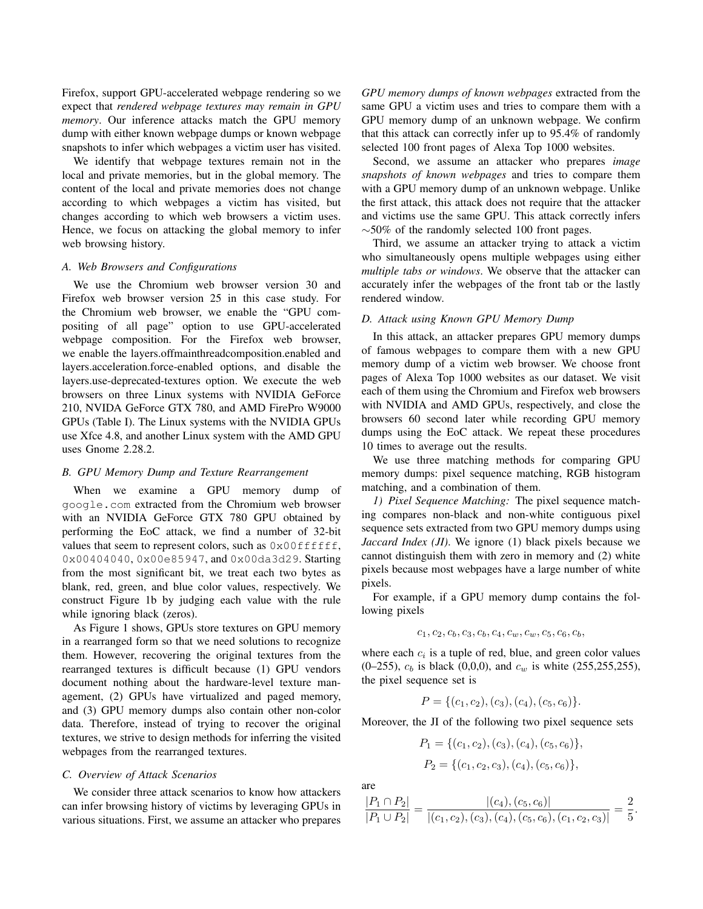Firefox, support GPU-accelerated webpage rendering so we expect that *rendered webpage textures may remain in GPU memory*. Our inference attacks match the GPU memory dump with either known webpage dumps or known webpage snapshots to infer which webpages a victim user has visited.

We identify that webpage textures remain not in the local and private memories, but in the global memory. The content of the local and private memories does not change according to which webpages a victim has visited, but changes according to which web browsers a victim uses. Hence, we focus on attacking the global memory to infer web browsing history.

# *A. Web Browsers and Configurations*

We use the Chromium web browser version 30 and Firefox web browser version 25 in this case study. For the Chromium web browser, we enable the "GPU compositing of all page" option to use GPU-accelerated webpage composition. For the Firefox web browser, we enable the layers.offmainthreadcomposition.enabled and layers.acceleration.force-enabled options, and disable the layers.use-deprecated-textures option. We execute the web browsers on three Linux systems with NVIDIA GeForce 210, NVIDA GeForce GTX 780, and AMD FirePro W9000 GPUs (Table I). The Linux systems with the NVIDIA GPUs use Xfce 4.8, and another Linux system with the AMD GPU uses Gnome 2.28.2.

#### *B. GPU Memory Dump and Texture Rearrangement*

When we examine a GPU memory dump of google.com extracted from the Chromium web browser with an NVIDIA GeForce GTX 780 GPU obtained by performing the EoC attack, we find a number of 32-bit values that seem to represent colors, such as  $0 \times 00$  ffffff, 0x00404040, 0x00e85947, and 0x00da3d29. Starting from the most significant bit, we treat each two bytes as blank, red, green, and blue color values, respectively. We construct Figure 1b by judging each value with the rule while ignoring black (zeros).

As Figure 1 shows, GPUs store textures on GPU memory in a rearranged form so that we need solutions to recognize them. However, recovering the original textures from the rearranged textures is difficult because (1) GPU vendors document nothing about the hardware-level texture management, (2) GPUs have virtualized and paged memory, and (3) GPU memory dumps also contain other non-color data. Therefore, instead of trying to recover the original textures, we strive to design methods for inferring the visited webpages from the rearranged textures.

# *C. Overview of Attack Scenarios*

We consider three attack scenarios to know how attackers can infer browsing history of victims by leveraging GPUs in various situations. First, we assume an attacker who prepares *GPU memory dumps of known webpages* extracted from the same GPU a victim uses and tries to compare them with a GPU memory dump of an unknown webpage. We confirm that this attack can correctly infer up to 95.4% of randomly selected 100 front pages of Alexa Top 1000 websites.

Second, we assume an attacker who prepares *image snapshots of known webpages* and tries to compare them with a GPU memory dump of an unknown webpage. Unlike the first attack, this attack does not require that the attacker and victims use the same GPU. This attack correctly infers  $\sim$ 50% of the randomly selected 100 front pages.

Third, we assume an attacker trying to attack a victim who simultaneously opens multiple webpages using either *multiple tabs or windows*. We observe that the attacker can accurately infer the webpages of the front tab or the lastly rendered window.

# *D. Attack using Known GPU Memory Dump*

In this attack, an attacker prepares GPU memory dumps of famous webpages to compare them with a new GPU memory dump of a victim web browser. We choose front pages of Alexa Top 1000 websites as our dataset. We visit each of them using the Chromium and Firefox web browsers with NVIDIA and AMD GPUs, respectively, and close the browsers 60 second later while recording GPU memory dumps using the EoC attack. We repeat these procedures 10 times to average out the results.

We use three matching methods for comparing GPU memory dumps: pixel sequence matching, RGB histogram matching, and a combination of them.

*1) Pixel Sequence Matching:* The pixel sequence matching compares non-black and non-white contiguous pixel sequence sets extracted from two GPU memory dumps using *Jaccard Index (JI)*. We ignore (1) black pixels because we cannot distinguish them with zero in memory and (2) white pixels because most webpages have a large number of white pixels.

For example, if a GPU memory dump contains the following pixels

$$
c_1, c_2, c_b, c_3, c_b, c_4, c_w, c_w, c_5, c_6, c_b,
$$

where each  $c_i$  is a tuple of red, blue, and green color values (0–255),  $c_b$  is black (0,0,0), and  $c_w$  is white (255,255,255), the pixel sequence set is

$$
P = \{(c_1, c_2), (c_3), (c_4), (c_5, c_6)\}.
$$

Moreover, the JI of the following two pixel sequence sets

$$
P_1 = \{(c_1, c_2), (c_3), (c_4), (c_5, c_6)\},
$$
  

$$
P_2 = \{(c_1, c_2, c_3), (c_4), (c_5, c_6)\},
$$

are

$$
\frac{|P_1 \cap P_2|}{|P_1 \cup P_2|} = \frac{|(c_4), (c_5, c_6)|}{|(c_1, c_2), (c_3), (c_4), (c_5, c_6), (c_1, c_2, c_3)|} = \frac{2}{5}.
$$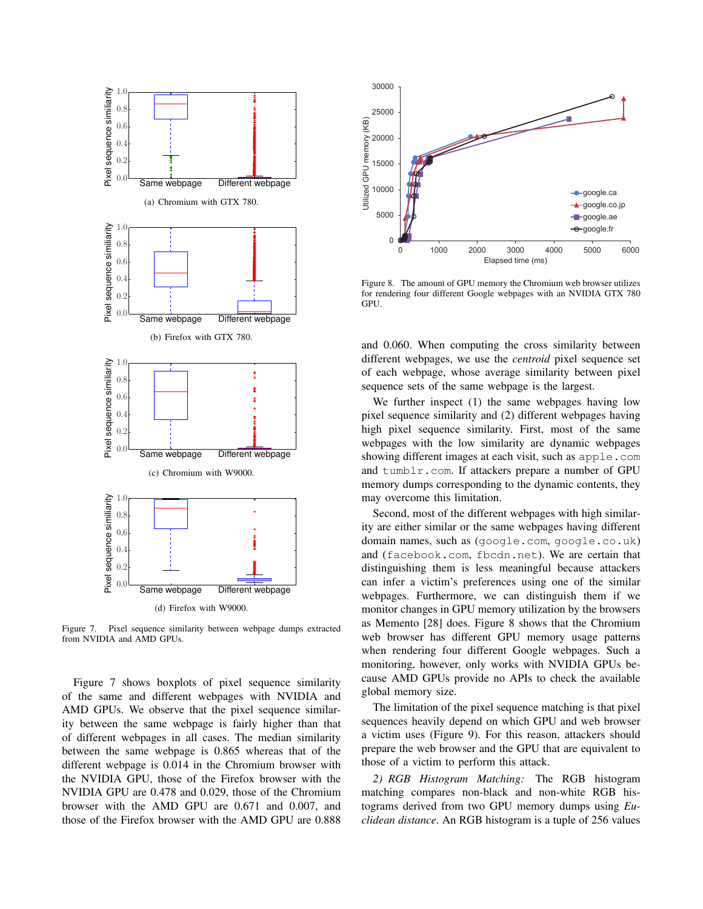

Figure 7. Pixel sequence similarity between webpage dumps extracted from NVIDIA and AMD GPUs.

Figure 7 shows boxplots of pixel sequence similarity of the same and different webpages with NVIDIA and AMD GPUs. We observe that the pixel sequence similarity between the same webpage is fairly higher than that of different webpages in all cases. The median similarity between the same webpage is 0.865 whereas that of the different webpage is 0.014 in the Chromium browser with the NVIDIA GPU, those of the Firefox browser with the NVIDIA GPU are 0.478 and 0.029, those of the Chromium browser with the AMD GPU are 0.671 and 0.007, and those of the Firefox browser with the AMD GPU are 0.888



Figure 8. The amount of GPU memory the Chromium web browser utilizes for rendering four different Google webpages with an NVIDIA GTX 780 GPU.

and 0.060. When computing the cross similarity between different webpages, we use the *centroid* pixel sequence set of each webpage, whose average similarity between pixel sequence sets of the same webpage is the largest.

We further inspect (1) the same webpages having low pixel sequence similarity and (2) different webpages having high pixel sequence similarity. First, most of the same webpages with the low similarity are dynamic webpages showing different images at each visit, such as apple.com and tumblr.com. If attackers prepare a number of GPU memory dumps corresponding to the dynamic contents, they may overcome this limitation.

Second, most of the different webpages with high similarity are either similar or the same webpages having different domain names, such as (google.com, google.co.uk) and (facebook.com, fbcdn.net). We are certain that distinguishing them is less meaningful because attackers can infer a victim's preferences using one of the similar webpages. Furthermore, we can distinguish them if we monitor changes in GPU memory utilization by the browsers as Memento [28] does. Figure 8 shows that the Chromium web browser has different GPU memory usage patterns when rendering four different Google webpages. Such a monitoring, however, only works with NVIDIA GPUs because AMD GPUs provide no APIs to check the available global memory size.

The limitation of the pixel sequence matching is that pixel sequences heavily depend on which GPU and web browser a victim uses (Figure 9). For this reason, attackers should prepare the web browser and the GPU that are equivalent to those of a victim to perform this attack.

*2) RGB Histogram Matching:* The RGB histogram matching compares non-black and non-white RGB histograms derived from two GPU memory dumps using *Euclidean distance*. An RGB histogram is a tuple of 256 values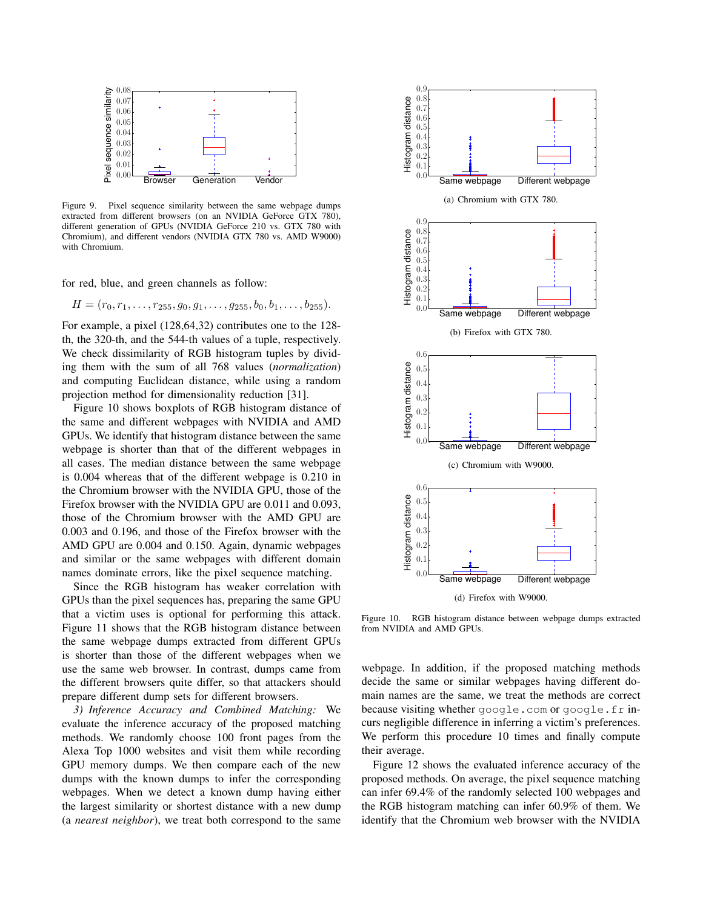

Figure 9. Pixel sequence similarity between the same webpage dumps extracted from different browsers (on an NVIDIA GeForce GTX 780), different generation of GPUs (NVIDIA GeForce 210 vs. GTX 780 with Chromium), and different vendors (NVIDIA GTX 780 vs. AMD W9000) with Chromium.

for red, blue, and green channels as follow:

$$
H=(r_0,r_1,\ldots,r_{255},g_0,g_1,\ldots,g_{255},b_0,b_1,\ldots,b_{255}).
$$

For example, a pixel (128,64,32) contributes one to the 128 th, the 320-th, and the 544-th values of a tuple, respectively. We check dissimilarity of RGB histogram tuples by dividing them with the sum of all 768 values (*normalization*) and computing Euclidean distance, while using a random projection method for dimensionality reduction [31].

Figure 10 shows boxplots of RGB histogram distance of the same and different webpages with NVIDIA and AMD GPUs. We identify that histogram distance between the same webpage is shorter than that of the different webpages in all cases. The median distance between the same webpage is 0.004 whereas that of the different webpage is 0.210 in the Chromium browser with the NVIDIA GPU, those of the Firefox browser with the NVIDIA GPU are 0.011 and 0.093, those of the Chromium browser with the AMD GPU are 0.003 and 0.196, and those of the Firefox browser with the AMD GPU are 0.004 and 0.150. Again, dynamic webpages and similar or the same webpages with different domain names dominate errors, like the pixel sequence matching.

Since the RGB histogram has weaker correlation with GPUs than the pixel sequences has, preparing the same GPU that a victim uses is optional for performing this attack. Figure 11 shows that the RGB histogram distance between the same webpage dumps extracted from different GPUs is shorter than those of the different webpages when we use the same web browser. In contrast, dumps came from the different browsers quite differ, so that attackers should prepare different dump sets for different browsers.

*3) Inference Accuracy and Combined Matching:* We evaluate the inference accuracy of the proposed matching methods. We randomly choose 100 front pages from the Alexa Top 1000 websites and visit them while recording GPU memory dumps. We then compare each of the new dumps with the known dumps to infer the corresponding webpages. When we detect a known dump having either the largest similarity or shortest distance with a new dump (a *nearest neighbor*), we treat both correspond to the same



Figure 10. RGB histogram distance between webpage dumps extracted from NVIDIA and AMD GPUs.

webpage. In addition, if the proposed matching methods decide the same or similar webpages having different domain names are the same, we treat the methods are correct because visiting whether google.com or google.fr incurs negligible difference in inferring a victim's preferences. We perform this procedure 10 times and finally compute their average.

Figure 12 shows the evaluated inference accuracy of the proposed methods. On average, the pixel sequence matching can infer 69.4% of the randomly selected 100 webpages and the RGB histogram matching can infer 60.9% of them. We identify that the Chromium web browser with the NVIDIA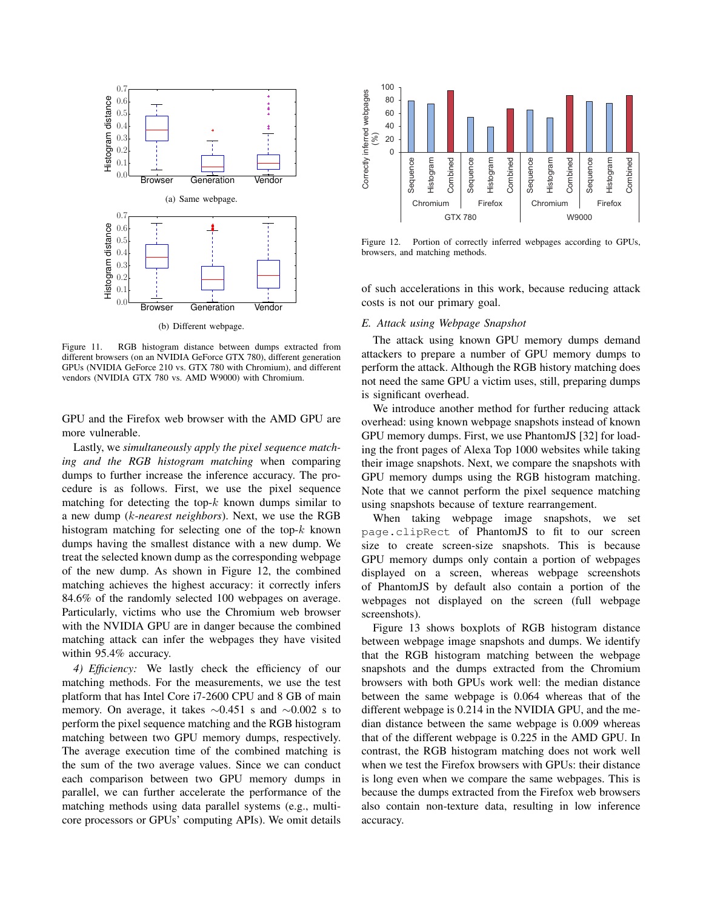

Figure 11. RGB histogram distance between dumps extracted from different browsers (on an NVIDIA GeForce GTX 780), different generation GPUs (NVIDIA GeForce 210 vs. GTX 780 with Chromium), and different vendors (NVIDIA GTX 780 vs. AMD W9000) with Chromium.

GPU and the Firefox web browser with the AMD GPU are more vulnerable.

Lastly, we *simultaneously apply the pixel sequence matching and the RGB histogram matching* when comparing dumps to further increase the inference accuracy. The procedure is as follows. First, we use the pixel sequence matching for detecting the top- $k$  known dumps similar to a new dump (k-*nearest neighbors*). Next, we use the RGB histogram matching for selecting one of the top- $k$  known dumps having the smallest distance with a new dump. We treat the selected known dump as the corresponding webpage of the new dump. As shown in Figure 12, the combined matching achieves the highest accuracy: it correctly infers 84.6% of the randomly selected 100 webpages on average. Particularly, victims who use the Chromium web browser with the NVIDIA GPU are in danger because the combined matching attack can infer the webpages they have visited within 95.4% accuracy.

*4) Efficiency:* We lastly check the efficiency of our matching methods. For the measurements, we use the test platform that has Intel Core i7-2600 CPU and 8 GB of main memory. On average, it takes ∼0.451 s and ∼0.002 s to perform the pixel sequence matching and the RGB histogram matching between two GPU memory dumps, respectively. The average execution time of the combined matching is the sum of the two average values. Since we can conduct each comparison between two GPU memory dumps in parallel, we can further accelerate the performance of the matching methods using data parallel systems (e.g., multicore processors or GPUs' computing APIs). We omit details



Figure 12. Portion of correctly inferred webpages according to GPUs, browsers, and matching methods.

of such accelerations in this work, because reducing attack costs is not our primary goal.

#### *E. Attack using Webpage Snapshot*

The attack using known GPU memory dumps demand attackers to prepare a number of GPU memory dumps to perform the attack. Although the RGB history matching does not need the same GPU a victim uses, still, preparing dumps is significant overhead.

We introduce another method for further reducing attack overhead: using known webpage snapshots instead of known GPU memory dumps. First, we use PhantomJS [32] for loading the front pages of Alexa Top 1000 websites while taking their image snapshots. Next, we compare the snapshots with GPU memory dumps using the RGB histogram matching. Note that we cannot perform the pixel sequence matching using snapshots because of texture rearrangement.

When taking webpage image snapshots, we set page.clipRect of PhantomJS to fit to our screen size to create screen-size snapshots. This is because GPU memory dumps only contain a portion of webpages displayed on a screen, whereas webpage screenshots of PhantomJS by default also contain a portion of the webpages not displayed on the screen (full webpage screenshots).

Figure 13 shows boxplots of RGB histogram distance between webpage image snapshots and dumps. We identify that the RGB histogram matching between the webpage snapshots and the dumps extracted from the Chromium browsers with both GPUs work well: the median distance between the same webpage is 0.064 whereas that of the different webpage is 0.214 in the NVIDIA GPU, and the median distance between the same webpage is 0.009 whereas that of the different webpage is 0.225 in the AMD GPU. In contrast, the RGB histogram matching does not work well when we test the Firefox browsers with GPUs: their distance is long even when we compare the same webpages. This is because the dumps extracted from the Firefox web browsers also contain non-texture data, resulting in low inference accuracy.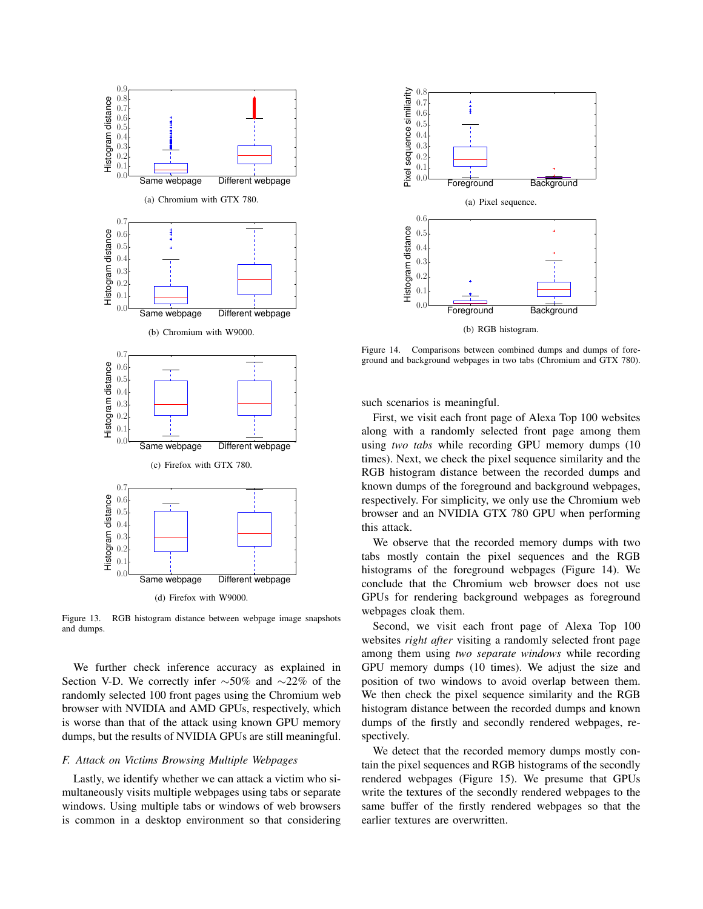

(d) Firefox with W9000.

Figure 13. RGB histogram distance between webpage image snapshots and dumps.

We further check inference accuracy as explained in Section V-D. We correctly infer ∼50% and ∼22% of the randomly selected 100 front pages using the Chromium web browser with NVIDIA and AMD GPUs, respectively, which is worse than that of the attack using known GPU memory dumps, but the results of NVIDIA GPUs are still meaningful.

# *F. Attack on Victims Browsing Multiple Webpages*

Lastly, we identify whether we can attack a victim who simultaneously visits multiple webpages using tabs or separate windows. Using multiple tabs or windows of web browsers is common in a desktop environment so that considering



Figure 14. Comparisons between combined dumps and dumps of foreground and background webpages in two tabs (Chromium and GTX 780).

such scenarios is meaningful.

First, we visit each front page of Alexa Top 100 websites along with a randomly selected front page among them using *two tabs* while recording GPU memory dumps (10 times). Next, we check the pixel sequence similarity and the RGB histogram distance between the recorded dumps and known dumps of the foreground and background webpages, respectively. For simplicity, we only use the Chromium web browser and an NVIDIA GTX 780 GPU when performing this attack.

We observe that the recorded memory dumps with two tabs mostly contain the pixel sequences and the RGB histograms of the foreground webpages (Figure 14). We conclude that the Chromium web browser does not use GPUs for rendering background webpages as foreground webpages cloak them.

Second, we visit each front page of Alexa Top 100 websites *right after* visiting a randomly selected front page among them using *two separate windows* while recording GPU memory dumps (10 times). We adjust the size and position of two windows to avoid overlap between them. We then check the pixel sequence similarity and the RGB histogram distance between the recorded dumps and known dumps of the firstly and secondly rendered webpages, respectively.

We detect that the recorded memory dumps mostly contain the pixel sequences and RGB histograms of the secondly rendered webpages (Figure 15). We presume that GPUs write the textures of the secondly rendered webpages to the same buffer of the firstly rendered webpages so that the earlier textures are overwritten.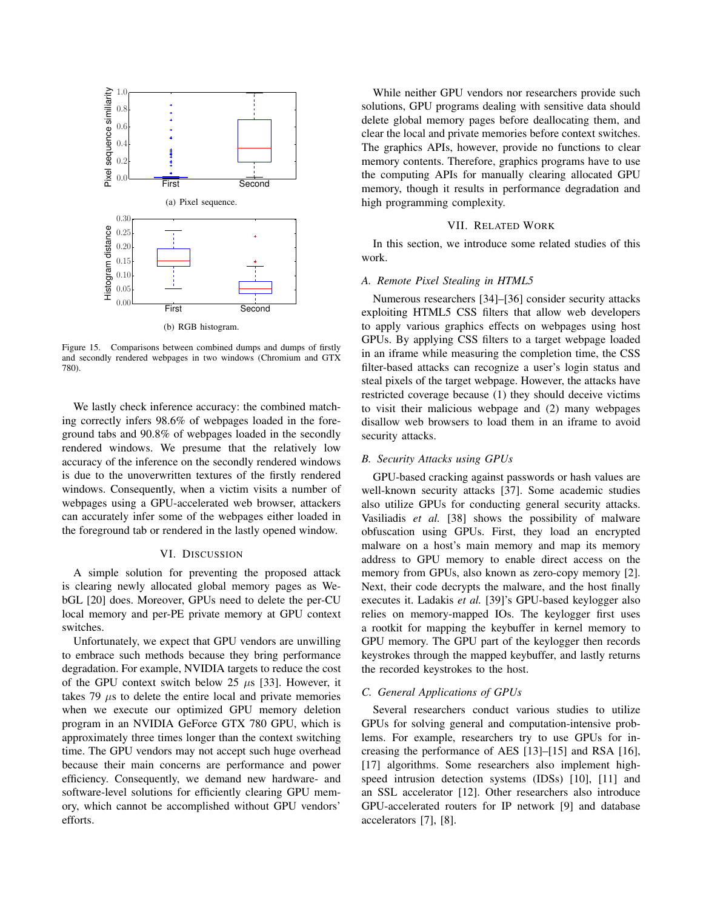

Figure 15. Comparisons between combined dumps and dumps of firstly and secondly rendered webpages in two windows (Chromium and GTX 780).

We lastly check inference accuracy: the combined matching correctly infers 98.6% of webpages loaded in the foreground tabs and 90.8% of webpages loaded in the secondly rendered windows. We presume that the relatively low accuracy of the inference on the secondly rendered windows is due to the unoverwritten textures of the firstly rendered windows. Consequently, when a victim visits a number of webpages using a GPU-accelerated web browser, attackers can accurately infer some of the webpages either loaded in the foreground tab or rendered in the lastly opened window.

# VI. DISCUSSION

A simple solution for preventing the proposed attack is clearing newly allocated global memory pages as WebGL [20] does. Moreover, GPUs need to delete the per-CU local memory and per-PE private memory at GPU context switches.

Unfortunately, we expect that GPU vendors are unwilling to embrace such methods because they bring performance degradation. For example, NVIDIA targets to reduce the cost of the GPU context switch below 25  $\mu$ s [33]. However, it takes  $79 \mu s$  to delete the entire local and private memories when we execute our optimized GPU memory deletion program in an NVIDIA GeForce GTX 780 GPU, which is approximately three times longer than the context switching time. The GPU vendors may not accept such huge overhead because their main concerns are performance and power efficiency. Consequently, we demand new hardware- and software-level solutions for efficiently clearing GPU memory, which cannot be accomplished without GPU vendors' efforts.

While neither GPU vendors nor researchers provide such solutions, GPU programs dealing with sensitive data should delete global memory pages before deallocating them, and clear the local and private memories before context switches. The graphics APIs, however, provide no functions to clear memory contents. Therefore, graphics programs have to use the computing APIs for manually clearing allocated GPU memory, though it results in performance degradation and high programming complexity.

# VII. RELATED WORK

In this section, we introduce some related studies of this work.

#### *A. Remote Pixel Stealing in HTML5*

Numerous researchers [34]–[36] consider security attacks exploiting HTML5 CSS filters that allow web developers to apply various graphics effects on webpages using host GPUs. By applying CSS filters to a target webpage loaded in an iframe while measuring the completion time, the CSS filter-based attacks can recognize a user's login status and steal pixels of the target webpage. However, the attacks have restricted coverage because (1) they should deceive victims to visit their malicious webpage and (2) many webpages disallow web browsers to load them in an iframe to avoid security attacks.

# *B. Security Attacks using GPUs*

GPU-based cracking against passwords or hash values are well-known security attacks [37]. Some academic studies also utilize GPUs for conducting general security attacks. Vasiliadis *et al.* [38] shows the possibility of malware obfuscation using GPUs. First, they load an encrypted malware on a host's main memory and map its memory address to GPU memory to enable direct access on the memory from GPUs, also known as zero-copy memory [2]. Next, their code decrypts the malware, and the host finally executes it. Ladakis *et al.* [39]'s GPU-based keylogger also relies on memory-mapped IOs. The keylogger first uses a rootkit for mapping the keybuffer in kernel memory to GPU memory. The GPU part of the keylogger then records keystrokes through the mapped keybuffer, and lastly returns the recorded keystrokes to the host.

#### *C. General Applications of GPUs*

Several researchers conduct various studies to utilize GPUs for solving general and computation-intensive problems. For example, researchers try to use GPUs for increasing the performance of AES [13]–[15] and RSA [16], [17] algorithms. Some researchers also implement highspeed intrusion detection systems (IDSs) [10], [11] and an SSL accelerator [12]. Other researchers also introduce GPU-accelerated routers for IP network [9] and database accelerators [7], [8].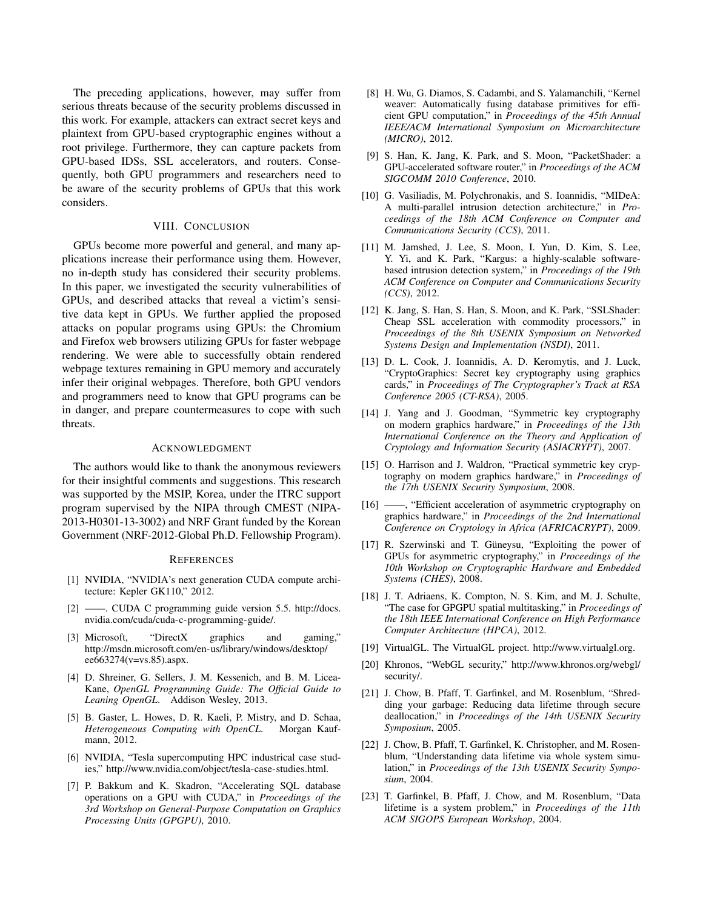The preceding applications, however, may suffer from serious threats because of the security problems discussed in this work. For example, attackers can extract secret keys and plaintext from GPU-based cryptographic engines without a root privilege. Furthermore, they can capture packets from GPU-based IDSs, SSL accelerators, and routers. Consequently, both GPU programmers and researchers need to be aware of the security problems of GPUs that this work considers.

# VIII. CONCLUSION

GPUs become more powerful and general, and many applications increase their performance using them. However, no in-depth study has considered their security problems. In this paper, we investigated the security vulnerabilities of GPUs, and described attacks that reveal a victim's sensitive data kept in GPUs. We further applied the proposed attacks on popular programs using GPUs: the Chromium and Firefox web browsers utilizing GPUs for faster webpage rendering. We were able to successfully obtain rendered webpage textures remaining in GPU memory and accurately infer their original webpages. Therefore, both GPU vendors and programmers need to know that GPU programs can be in danger, and prepare countermeasures to cope with such threats.

# ACKNOWLEDGMENT

The authors would like to thank the anonymous reviewers for their insightful comments and suggestions. This research was supported by the MSIP, Korea, under the ITRC support program supervised by the NIPA through CMEST (NIPA-2013-H0301-13-3002) and NRF Grant funded by the Korean Government (NRF-2012-Global Ph.D. Fellowship Program).

#### **REFERENCES**

- [1] NVIDIA, "NVIDIA's next generation CUDA compute architecture: Kepler GK110," 2012.
- CUDA C programming guide version 5.5. http://docs. nvidia.com/cuda/cuda-c-programming-guide/.
- [3] Microsoft, "DirectX graphics and gaming," http://msdn.microsoft.com/en-us/library/windows/desktop/ ee663274(v=vs.85).aspx.
- [4] D. Shreiner, G. Sellers, J. M. Kessenich, and B. M. Licea-Kane, *OpenGL Programming Guide: The Official Guide to Leaning OpenGL*. Addison Wesley, 2013.
- [5] B. Gaster, L. Howes, D. R. Kaeli, P. Mistry, and D. Schaa, *Heterogeneous Computing with OpenCL*. Morgan Kaufmann, 2012.
- [6] NVIDIA, "Tesla supercomputing HPC industrical case studies," http://www.nvidia.com/object/tesla-case-studies.html.
- [7] P. Bakkum and K. Skadron, "Accelerating SQL database operations on a GPU with CUDA," in *Proceedings of the 3rd Workshop on General-Purpose Computation on Graphics Processing Units (GPGPU)*, 2010.
- [8] H. Wu, G. Diamos, S. Cadambi, and S. Yalamanchili, "Kernel weaver: Automatically fusing database primitives for efficient GPU computation," in *Proceedings of the 45th Annual IEEE/ACM International Symposium on Microarchitecture (MICRO)*, 2012.
- [9] S. Han, K. Jang, K. Park, and S. Moon, "PacketShader: a GPU-accelerated software router," in *Proceedings of the ACM SIGCOMM 2010 Conference*, 2010.
- [10] G. Vasiliadis, M. Polychronakis, and S. Ioannidis, "MIDeA: A multi-parallel intrusion detection architecture," in *Proceedings of the 18th ACM Conference on Computer and Communications Security (CCS)*, 2011.
- [11] M. Jamshed, J. Lee, S. Moon, I. Yun, D. Kim, S. Lee, Y. Yi, and K. Park, "Kargus: a highly-scalable softwarebased intrusion detection system," in *Proceedings of the 19th ACM Conference on Computer and Communications Security (CCS)*, 2012.
- [12] K. Jang, S. Han, S. Han, S. Moon, and K. Park, "SSLShader: Cheap SSL acceleration with commodity processors," in *Proceedings of the 8th USENIX Symposium on Networked Systems Design and Implementation (NSDI)*, 2011.
- [13] D. L. Cook, J. Ioannidis, A. D. Keromytis, and J. Luck, "CryptoGraphics: Secret key cryptography using graphics cards," in *Proceedings of The Cryptographer's Track at RSA Conference 2005 (CT-RSA)*, 2005.
- [14] J. Yang and J. Goodman, "Symmetric key cryptography on modern graphics hardware," in *Proceedings of the 13th International Conference on the Theory and Application of Cryptology and Information Security (ASIACRYPT)*, 2007.
- [15] O. Harrison and J. Waldron, "Practical symmetric key cryptography on modern graphics hardware," in *Proceedings of the 17th USENIX Security Symposium*, 2008.
- [16] -, "Efficient acceleration of asymmetric cryptography on graphics hardware," in *Proceedings of the 2nd International Conference on Cryptology in Africa (AFRICACRYPT)*, 2009.
- [17] R. Szerwinski and T. Güneysu, "Exploiting the power of GPUs for asymmetric cryptography," in *Proceedings of the 10th Workshop on Cryptographic Hardware and Embedded Systems (CHES)*, 2008.
- [18] J. T. Adriaens, K. Compton, N. S. Kim, and M. J. Schulte, "The case for GPGPU spatial multitasking," in *Proceedings of the 18th IEEE International Conference on High Performance Computer Architecture (HPCA)*, 2012.
- [19] VirtualGL. The VirtualGL project. http://www.virtualgl.org.
- [20] Khronos, "WebGL security," http://www.khronos.org/webgl/ security/.
- [21] J. Chow, B. Pfaff, T. Garfinkel, and M. Rosenblum, "Shredding your garbage: Reducing data lifetime through secure deallocation," in *Proceedings of the 14th USENIX Security Symposium*, 2005.
- [22] J. Chow, B. Pfaff, T. Garfinkel, K. Christopher, and M. Rosenblum, "Understanding data lifetime via whole system simulation," in *Proceedings of the 13th USENIX Security Symposium*, 2004.
- [23] T. Garfinkel, B. Pfaff, J. Chow, and M. Rosenblum, "Data lifetime is a system problem," in *Proceedings of the 11th ACM SIGOPS European Workshop*, 2004.